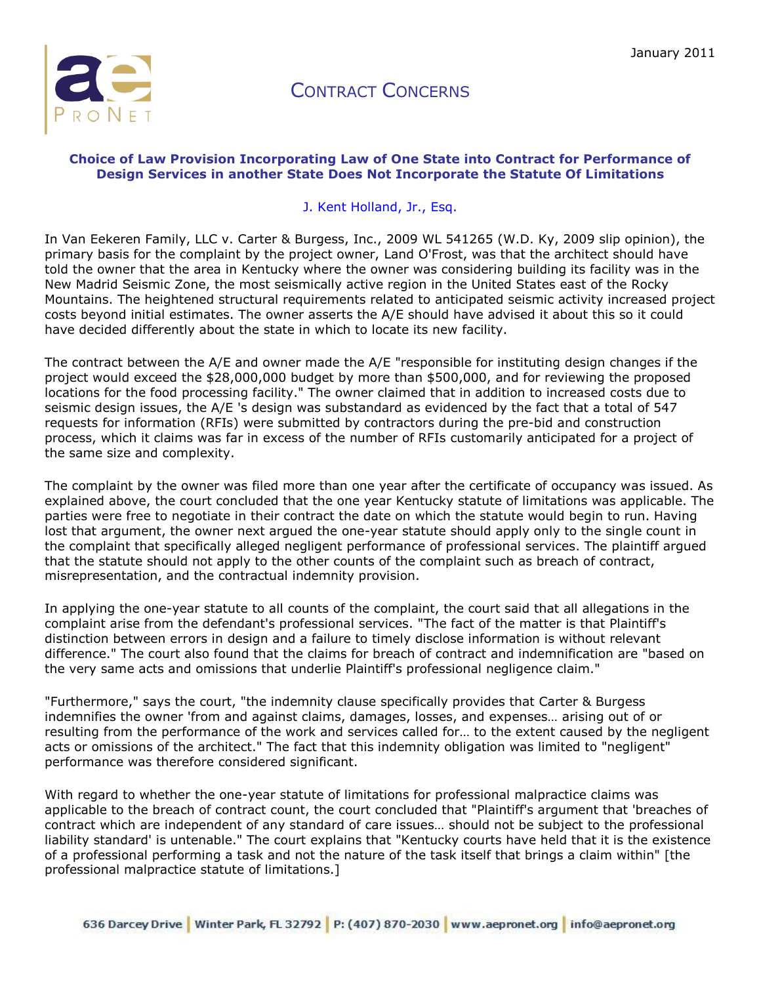

## CONTRACT CONCERNS

## **Choice of Law Provision Incorporating Law of One State into Contract for Performance of Design Services in another State Does Not Incorporate the Statute Of Limitations**

## [J. Kent Holland, Jr., Esq.](http://aepronet.org/ge/no54.html#bio#bio)

In Van Eekeren Family, LLC v. Carter & Burgess, Inc., 2009 WL 541265 (W.D. Ky, 2009 slip opinion), the primary basis for the complaint by the project owner, Land O'Frost, was that the architect should have told the owner that the area in Kentucky where the owner was considering building its facility was in the New Madrid Seismic Zone, the most seismically active region in the United States east of the Rocky Mountains. The heightened structural requirements related to anticipated seismic activity increased project costs beyond initial estimates. The owner asserts the A/E should have advised it about this so it could have decided differently about the state in which to locate its new facility.

The contract between the A/E and owner made the A/E "responsible for instituting design changes if the project would exceed the \$28,000,000 budget by more than \$500,000, and for reviewing the proposed locations for the food processing facility." The owner claimed that in addition to increased costs due to seismic design issues, the A/E 's design was substandard as evidenced by the fact that a total of 547 requests for information (RFIs) were submitted by contractors during the pre-bid and construction process, which it claims was far in excess of the number of RFIs customarily anticipated for a project of the same size and complexity.

The complaint by the owner was filed more than one year after the certificate of occupancy was issued. As explained above, the court concluded that the one year Kentucky statute of limitations was applicable. The parties were free to negotiate in their contract the date on which the statute would begin to run. Having lost that argument, the owner next argued the one-year statute should apply only to the single count in the complaint that specifically alleged negligent performance of professional services. The plaintiff argued that the statute should not apply to the other counts of the complaint such as breach of contract, misrepresentation, and the contractual indemnity provision.

In applying the one-year statute to all counts of the complaint, the court said that all allegations in the complaint arise from the defendant's professional services. "The fact of the matter is that Plaintiff's distinction between errors in design and a failure to timely disclose information is without relevant difference." The court also found that the claims for breach of contract and indemnification are "based on the very same acts and omissions that underlie Plaintiff's professional negligence claim."

"Furthermore," says the court, "the indemnity clause specifically provides that Carter & Burgess indemnifies the owner 'from and against claims, damages, losses, and expenses… arising out of or resulting from the performance of the work and services called for… to the extent caused by the negligent acts or omissions of the architect." The fact that this indemnity obligation was limited to "negligent" performance was therefore considered significant.

With regard to whether the one-year statute of limitations for professional malpractice claims was applicable to the breach of contract count, the court concluded that "Plaintiff's argument that 'breaches of contract which are independent of any standard of care issues… should not be subject to the professional liability standard' is untenable." The court explains that "Kentucky courts have held that it is the existence of a professional performing a task and not the nature of the task itself that brings a claim within" [the professional malpractice statute of limitations.]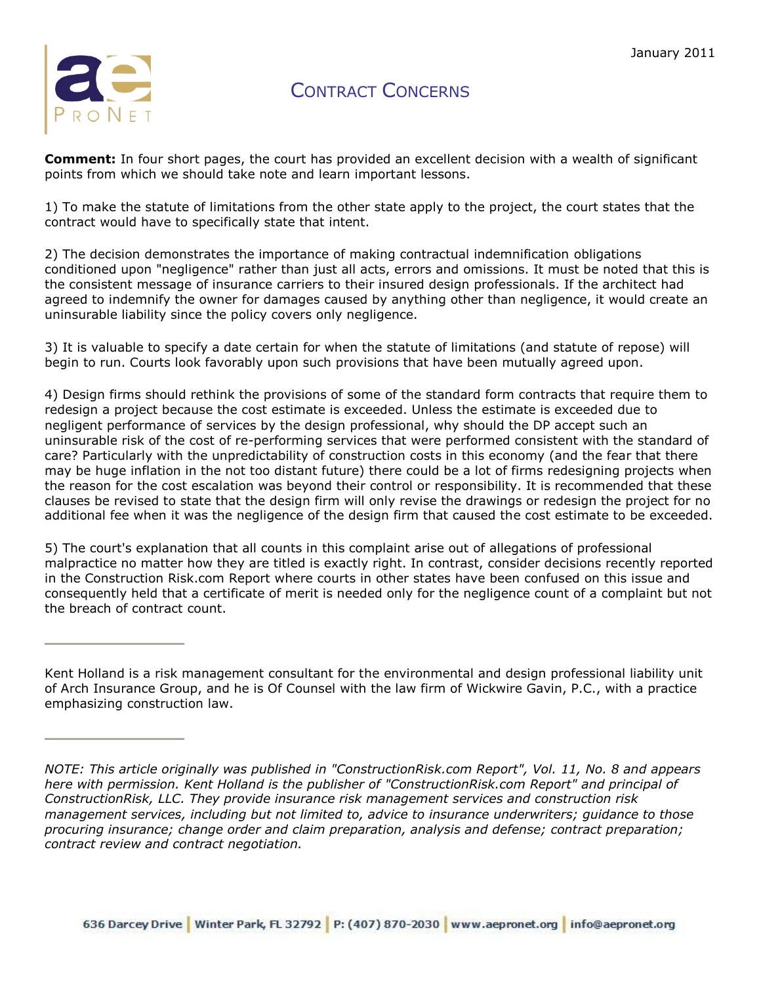

CONTRACT CONCERNS

**Comment:** In four short pages, the court has provided an excellent decision with a wealth of significant points from which we should take note and learn important lessons.

1) To make the statute of limitations from the other state apply to the project, the court states that the contract would have to specifically state that intent.

2) The decision demonstrates the importance of making contractual indemnification obligations conditioned upon "negligence" rather than just all acts, errors and omissions. It must be noted that this is the consistent message of insurance carriers to their insured design professionals. If the architect had agreed to indemnify the owner for damages caused by anything other than negligence, it would create an uninsurable liability since the policy covers only negligence.

3) It is valuable to specify a date certain for when the statute of limitations (and statute of repose) will begin to run. Courts look favorably upon such provisions that have been mutually agreed upon.

4) Design firms should rethink the provisions of some of the standard form contracts that require them to redesign a project because the cost estimate is exceeded. Unless the estimate is exceeded due to negligent performance of services by the design professional, why should the DP accept such an uninsurable risk of the cost of re-performing services that were performed consistent with the standard of care? Particularly with the unpredictability of construction costs in this economy (and the fear that there may be huge inflation in the not too distant future) there could be a lot of firms redesigning projects when the reason for the cost escalation was beyond their control or responsibility. It is recommended that these clauses be revised to state that the design firm will only revise the drawings or redesign the project for no additional fee when it was the negligence of the design firm that caused the cost estimate to be exceeded.

5) The court's explanation that all counts in this complaint arise out of allegations of professional malpractice no matter how they are titled is exactly right. In contrast, consider decisions recently reported in the Construction Risk.com Report where courts in other states have been confused on this issue and consequently held that a certificate of merit is needed only for the negligence count of a complaint but not the breach of contract count.

Kent Holland is a risk management consultant for the environmental and design professional liability unit of Arch Insurance Group, and he is Of Counsel with the law firm of Wickwire Gavin, P.C., with a practice emphasizing construction law.

*NOTE: This article originally was published in "ConstructionRisk.com Report", Vol. 11, No. 8 and appears here with permission. Kent Holland is the publisher of "ConstructionRisk.com Report" and principal of ConstructionRisk, LLC. They provide insurance risk management services and construction risk management services, including but not limited to, advice to insurance underwriters; guidance to those procuring insurance; change order and claim preparation, analysis and defense; contract preparation; contract review and contract negotiation.*